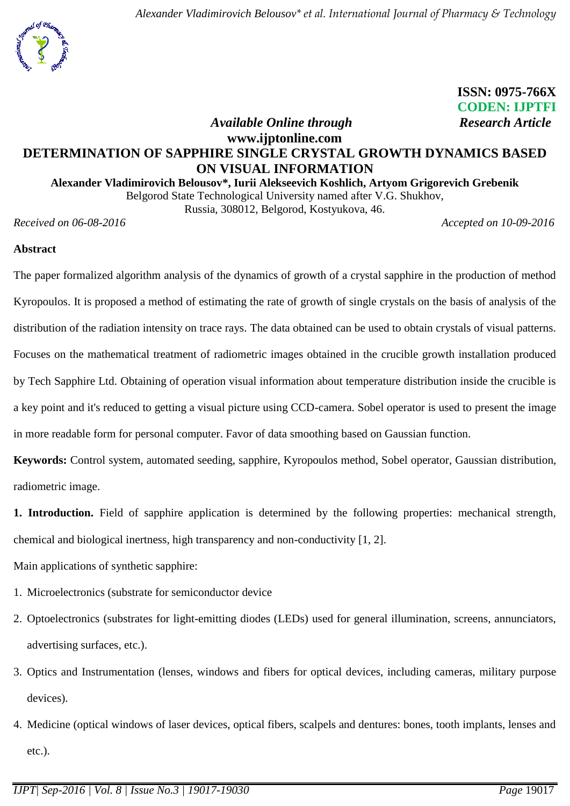

 **ISSN: 0975-766X** **CODEN: IJPTFI** *<i>Available Online through* Research Article

# **www.ijptonline.com DETERMINATION OF SAPPHIRE SINGLE CRYSTAL GROWTH DYNAMICS BASED ON VISUAL INFORMATION**

## **Alexander Vladimirovich Belousov\*, Iurii Alekseevich Koshlich, Artyom Grigorevich Grebenik**

Belgorod State Technological University named after V.G. Shukhov,

Russia, 308012, Belgorod, Kostyukova, 46.

*Received on 06-08-2016 Accepted on 10-09-2016*

### **Abstract**

The paper formalized algorithm analysis of the dynamics of growth of a crystal sapphire in the production of method Kyropoulos. It is proposed a method of estimating the rate of growth of single crystals on the basis of analysis of the distribution of the radiation intensity on trace rays. The data obtained can be used to obtain crystals of visual patterns. Focuses on the mathematical treatment of radiometric images obtained in the crucible growth installation produced by Tech Sapphire Ltd. Obtaining of operation visual information about temperature distribution inside the crucible is a key point and it's reduced to getting a visual picture using CCD-camera. Sobel operator is used to present the image in more readable form for personal computer. Favor of data smoothing based on Gaussian function.

**Keywords:** Control system, automated seeding, sapphire, Kyropoulos method, Sobel operator, Gaussian distribution, radiometric image.

**1. Introduction.** Field of sapphire application is determined by the following properties: mechanical strength, chemical and biological inertness, high transparency and non-conductivity [1, 2].

Main applications of synthetic sapphire:

- 1. Microelectronics (substrate for semiconductor device
- 2. Optoelectronics (substrates for light-emitting diodes (LEDs) used for general illumination, screens, annunciators, advertising surfaces, etc.).
- 3. Optics and Instrumentation (lenses, windows and fibers for optical devices, including cameras, military purpose devices).
- 4. Medicine (optical windows of laser devices, optical fibers, scalpels and dentures: bones, tooth implants, lenses and etc.).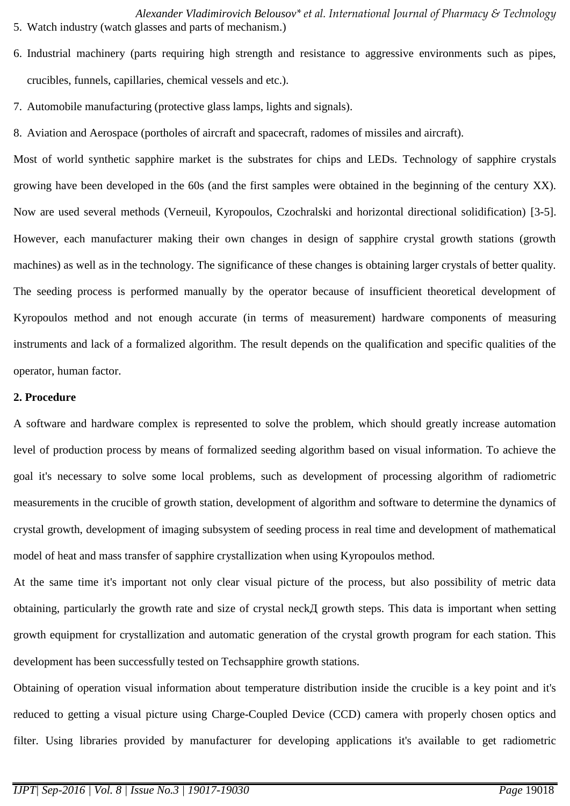*Alexander Vladimirovich Belousov\* et al. International Journal of Pharmacy & Technology*  5. Watch industry (watch glasses and parts of mechanism.)

- 6. Industrial machinery (parts requiring high strength and resistance to aggressive environments such as pipes, crucibles, funnels, capillaries, chemical vessels and etc.).
- 7. Automobile manufacturing (protective glass lamps, lights and signals).
- 8. Aviation and Aerospace (portholes of aircraft and spacecraft, radomes of missiles and aircraft).

Most of world synthetic sapphire market is the substrates for chips and LEDs. Technology of sapphire crystals growing have been developed in the 60s (and the first samples were obtained in the beginning of the century XX). Now are used several methods (Verneuil, Kyropoulos, Czochralski and horizontal directional solidification) [3-5]. However, each manufacturer making their own changes in design of sapphire crystal growth stations (growth machines) as well as in the technology. The significance of these changes is obtaining larger crystals of better quality. The seeding process is performed manually by the operator because of insufficient theoretical development of Kyropoulos method and not enough accurate (in terms of measurement) hardware components of measuring instruments and lack of a formalized algorithm. The result depends on the qualification and specific qualities of the operator, human factor.

#### **2. Procedure**

A software and hardware complex is represented to solve the problem, which should greatly increase automation level of production process by means of formalized seeding algorithm based on visual information. To achieve the goal it's necessary to solve some local problems, such as development of processing algorithm of radiometric measurements in the crucible of growth station, development of algorithm and software to determine the dynamics of crystal growth, development of imaging subsystem of seeding process in real time and development of mathematical model of heat and mass transfer of sapphire crystallization when using Kyropoulos method.

At the same time it's important not only clear visual picture of the process, but also possibility of metric data obtaining, particularly the growth rate and size of crystal neckД growth steps. This data is important when setting growth equipment for crystallization and automatic generation of the crystal growth program for each station. This development has been successfully tested on Techsapphire growth stations.

Obtaining of operation visual information about temperature distribution inside the crucible is a key point and it's reduced to getting a visual picture using Charge-Coupled Device (CCD) camera with properly chosen optics and filter. Using libraries provided by manufacturer for developing applications it's available to get radiometric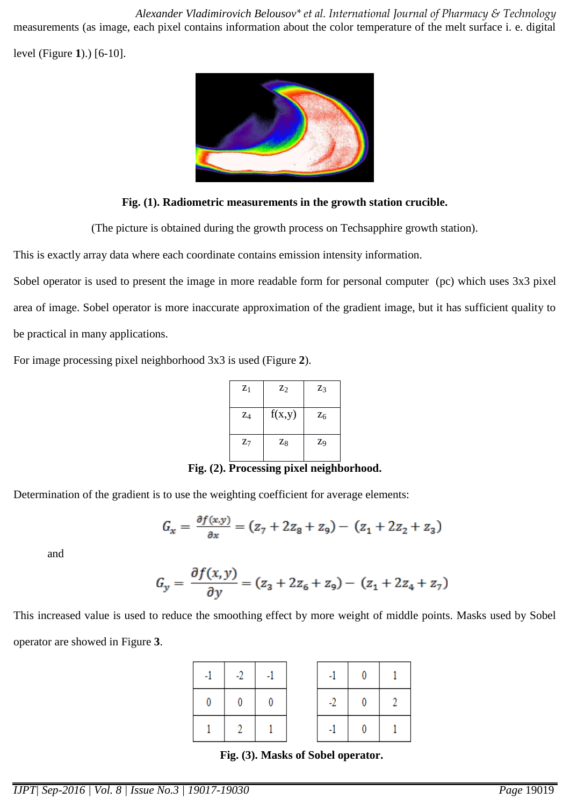*Alexander Vladimirovich Belousov\* et al. International Journal of Pharmacy & Technology*  measurements (as image, each pixel contains information about the color temperature of the melt surface i. e. digital

level (Figure **1**).) [6-10].



## **Fig. (1). Radiometric measurements in the growth station crucible.**

(The picture is obtained during the growth process on Techsapphire growth station).

This is exactly array data where each coordinate contains emission intensity information.

Sobel operator is used to present the image in more readable form for personal computer (pc) which uses 3x3 pixel area of image. Sobel operator is more inaccurate approximation of the gradient image, but it has sufficient quality to be practical in many applications.

For image processing pixel neighborhood 3x3 is used (Figure **2**).

| $Z_1$ | $\mathbf{Z}_2$ | Z <sub>3</sub> |
|-------|----------------|----------------|
| $Z_4$ | f(x,y)         | $Z_6$          |
| $Z_7$ | Z <sub>8</sub> | Z9             |

**Fig. (2). Processing pixel neighborhood.**

Determination of the gradient is to use the weighting coefficient for average elements:

$$
G_x = \frac{\partial f(x, y)}{\partial x} = (z_7 + 2z_8 + z_9) - (z_1 + 2z_2 + z_3)
$$

and

$$
G_y = \frac{\partial f(x, y)}{\partial y} = (z_3 + 2z_6 + z_9) - (z_1 + 2z_4 + z_7)
$$

This increased value is used to reduce the smoothing effect by more weight of middle points. Masks used by Sobel operator are showed in Figure **3**.

| $-1$     | $-2$ |  | $-1$ $-1$ |             |  |
|----------|------|--|-----------|-------------|--|
| $\bf{0}$ |      |  | $-2$      | $\mathbf 0$ |  |
|          |      |  | -1. 1.    |             |  |

**Fig. (3). Masks of Sobel operator.**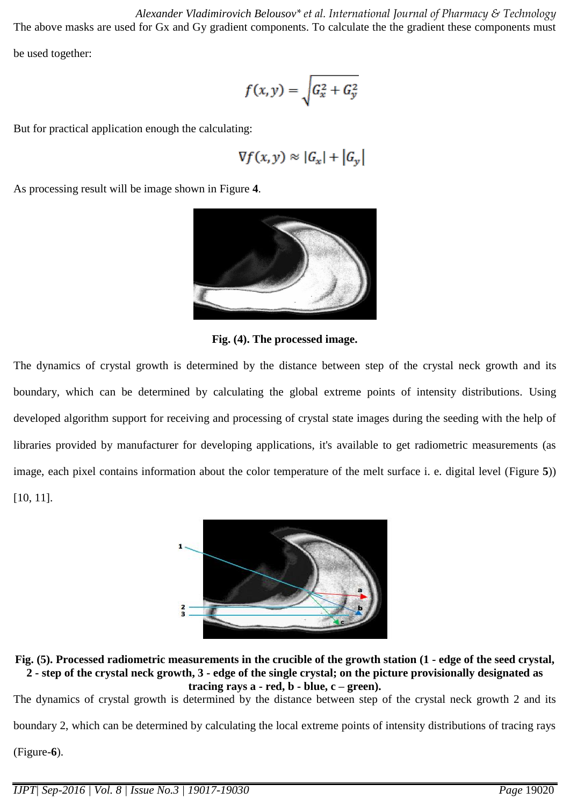*Alexander Vladimirovich Belousov\* et al. International Journal of Pharmacy & Technology*  The above masks are used for Gx and Gy gradient components. To calculate the the gradient these components must be used together:

$$
f(x,y) = \sqrt{G_x^2 + G_y^2}
$$

But for practical application enough the calculating:

$$
\nabla f(x,y) \approx |G_x| + |G_y|
$$

As processing result will be image shown in Figure **4**.



**Fig. (4). The processed image.**

The dynamics of crystal growth is determined by the distance between step of the crystal neck growth and its boundary, which can be determined by calculating the global extreme points of intensity distributions. Using developed algorithm support for receiving and processing of crystal state images during the seeding with the help of libraries provided by manufacturer for developing applications, it's available to get radiometric measurements (as image, each pixel contains information about the color temperature of the melt surface i. e. digital level (Figure **5**)) [10, 11].



**Fig. (5). Processed radiometric measurements in the crucible of the growth station (1 - edge of the seed crystal, 2 - step of the crystal neck growth, 3 - edge of the single crystal; on the picture provisionally designated as**   $$ 

The dynamics of crystal growth is determined by the distance between step of the crystal neck growth 2 and its

boundary 2, which can be determined by calculating the local extreme points of intensity distributions of tracing rays

(Figure-**6**).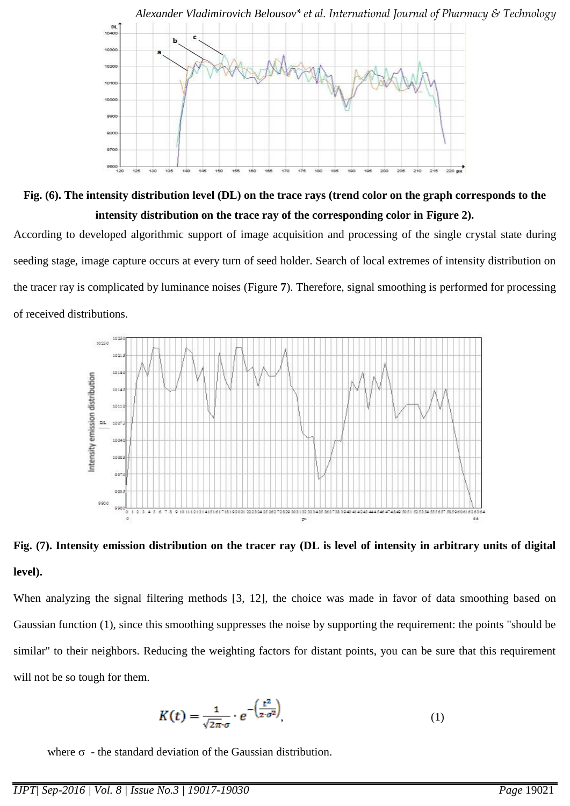

**Fig. (6). The intensity distribution level (DL) on the trace rays (trend color on the graph corresponds to the intensity distribution on the trace ray of the corresponding color in Figure 2).**

According to developed algorithmic support of image acquisition and processing of the single crystal state during seeding stage, image capture occurs at every turn of seed holder. Search of local extremes of intensity distribution on the tracer ray is complicated by luminance noises (Figure **7**). Therefore, signal smoothing is performed for processing of received distributions.





When analyzing the signal filtering methods [3, 12], the choice was made in favor of data smoothing based on Gaussian function (1), since this smoothing suppresses the noise by supporting the requirement: the points "should be similar" to their neighbors. Reducing the weighting factors for distant points, you can be sure that this requirement will not be so tough for them.

$$
K(t) = \frac{1}{\sqrt{2\pi} \cdot \sigma} \cdot e^{-\left(\frac{t^2}{2\cdot \sigma^2}\right)},
$$
\n(1)

where  $\sigma$  - the standard deviation of the Gaussian distribution.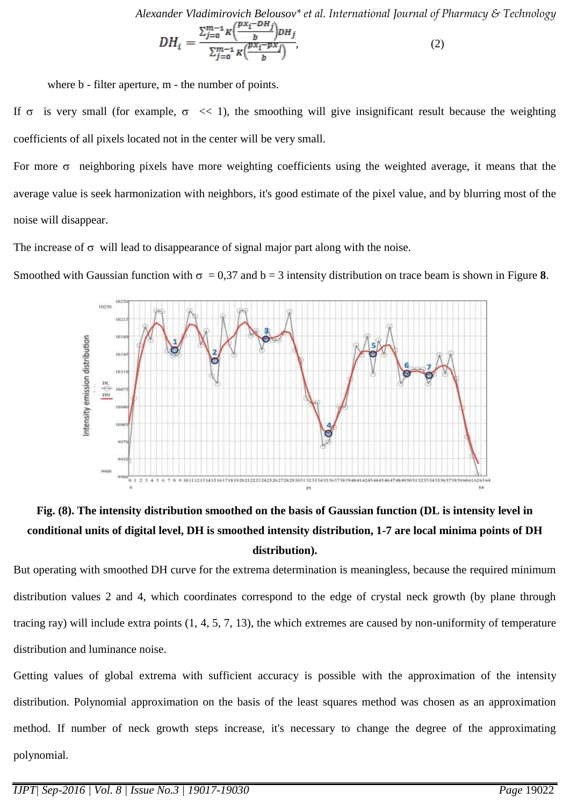*Alexander Vladimirovich Belousov\* et al. International Journal of Pharmacy & Technology* 

$$
DH_i = \frac{\sum_{j=0}^{m-1} K \left( \frac{px_i - DH_j}{b} \right) DH_j}{\sum_{j=0}^{m-1} K \left( \frac{px_i - px_j}{b} \right)},\tag{2}
$$

where **b** - filter aperture, **m** - the number of points.

If  $\sigma$  is very small (for example,  $\sigma \ll 1$ ), the smoothing will give insignificant result because the weighting coefficients of all pixels located not in the center will be very small.

For more  $\sigma$  neighboring pixels have more weighting coefficients using the weighted average, it means that the average value is seek harmonization with neighbors, it's good estimate of the pixel value, and by blurring most of the noise will disappear.

The increase of  $\sigma$  will lead to disappearance of signal major part along with the noise.

Smoothed with Gaussian function with  $\sigma = 0.37$  and  $b = 3$  intensity distribution on trace beam is shown in Figure 8.



# **Fig. (8). The intensity distribution smoothed on the basis of Gaussian function (DL is intensity level in conditional units of digital level, DH is smoothed intensity distribution, 1-7 are local minima points of DH distribution).**

But operating with smoothed DH curve for the extrema determination is meaningless, because the required minimum distribution values 2 and 4, which coordinates correspond to the edge of crystal neck growth (by plane through tracing ray) will include extra points (1, 4, 5, 7, 13), the which extremes are caused by non-uniformity of temperature distribution and luminance noise.

Getting values of global extrema with sufficient accuracy is possible with the approximation of the intensity distribution. Polynomial approximation on the basis of the least squares method was chosen as an approximation method. If number of neck growth steps increase, it's necessary to change the degree of the approximating polynomial.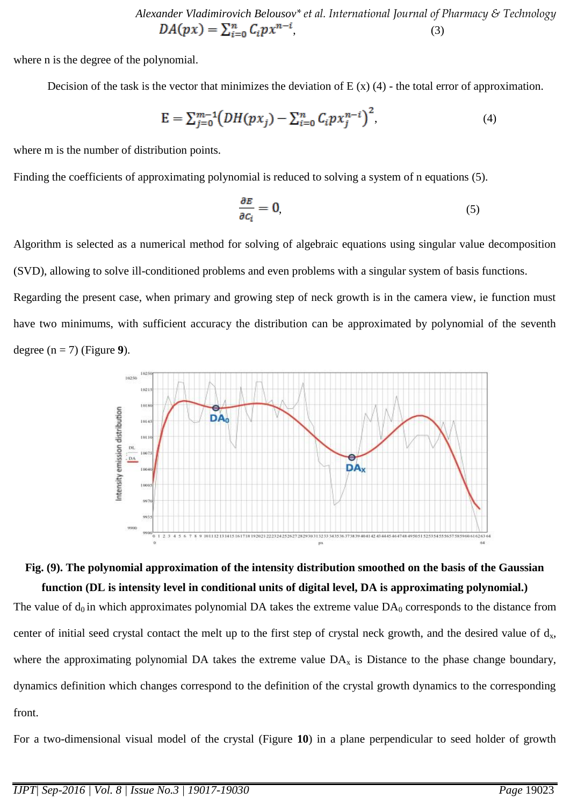*Alexander Vladimirovich Belousov*<sup>\*</sup> *et al. International Journal of Pharmacy & Technology*  $DA(px) = \sum_{i=0}^{n} C_i px^{n-i}$ , (3)  $,$  (3)

where n is the degree of the polynomial.

Decision of the task is the vector that minimizes the deviation of  $E(x)$  (4) - the total error of approximation.

$$
E = \sum_{j=0}^{m-1} \left( DH(px_j) - \sum_{i=0}^{n} C_i px_j^{n-i} \right)^2, \tag{4}
$$

where m is the number of distribution points.

Finding the coefficients of approximating polynomial is reduced to solving a system of n equations (5).

$$
\frac{\partial E}{\partial c_i} = 0,\tag{5}
$$

Algorithm is selected as a numerical method for solving of algebraic equations using singular value decomposition (SVD), allowing to solve ill-conditioned problems and even problems with a singular system of basis functions.

Regarding the present case, when primary and growing step of neck growth is in the camera view, ie function must have two minimums, with sufficient accuracy the distribution can be approximated by polynomial of the seventh degree (n = 7) (Figure **9**).



# **Fig. (9). The polynomial approximation of the intensity distribution smoothed on the basis of the Gaussian function (DL is intensity level in conditional units of digital level, DA is approximating polynomial.)**

The value of  $d_0$  in which approximates polynomial DA takes the extreme value  $DA_0$  corresponds to the distance from center of initial seed crystal contact the melt up to the first step of crystal neck growth, and the desired value of  $d_x$ , where the approximating polynomial DA takes the extreme value  $DA<sub>x</sub>$  is Distance to the phase change boundary, dynamics definition which changes correspond to the definition of the crystal growth dynamics to the corresponding front.

For a two-dimensional visual model of the crystal (Figure **10**) in a plane perpendicular to seed holder of growth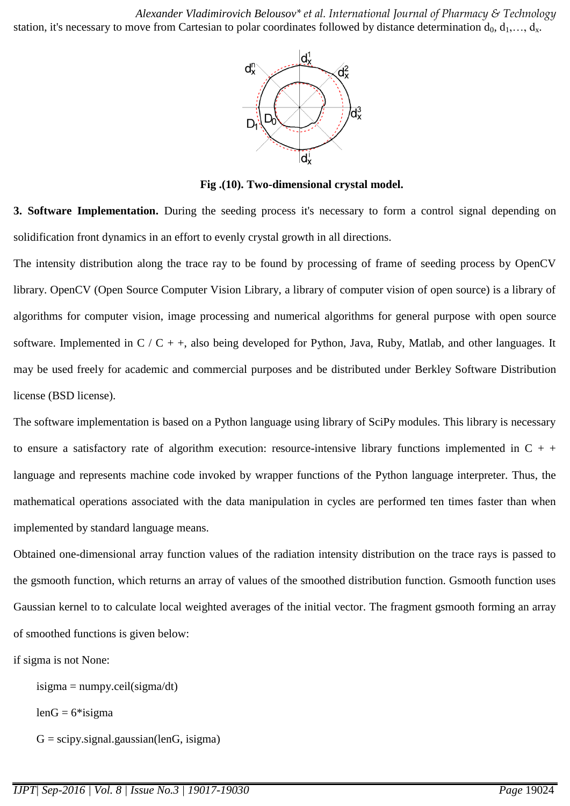*Alexander Vladimirovich Belousov\* et al. International Journal of Pharmacy & Technology*  station, it's necessary to move from Cartesian to polar coordinates followed by distance determination  $d_0, d_1, \ldots, d_x$ .



**Fig .(10). Two-dimensional crystal model.**

**3. Software Implementation.** During the seeding process it's necessary to form a control signal depending on solidification front dynamics in an effort to evenly crystal growth in all directions.

The intensity distribution along the trace ray to be found by processing of frame of seeding process by OpenCV library. OpenCV (Open Source Computer Vision Library, a library of computer vision of open source) is a library of algorithms for computer vision, image processing and numerical algorithms for general purpose with open source software. Implemented in  $C / C + +$ , also being developed for Python, Java, Ruby, Matlab, and other languages. It may be used freely for academic and commercial purposes and be distributed under Berkley Software Distribution license (BSD license).

The software implementation is based on a Python language using library of SciPy modules. This library is necessary to ensure a satisfactory rate of algorithm execution: resource-intensive library functions implemented in  $C + +$ language and represents machine code invoked by wrapper functions of the Python language interpreter. Thus, the mathematical operations associated with the data manipulation in cycles are performed ten times faster than when implemented by standard language means.

Obtained one-dimensional array function values of the radiation intensity distribution on the trace rays is passed to the gsmooth function, which returns an array of values of the smoothed distribution function. Gsmooth function uses Gaussian kernel to to calculate local weighted averages of the initial vector. The fragment gsmooth forming an array of smoothed functions is given below:

if sigma is not None:

 $isigma = \text{numpy}.\text{ceil}(\text{sigma/dt})$ 

 $lenG = 6*isigma$ 

 $G = \text{scipy}$ .signal.gaussian(lenG, isigma)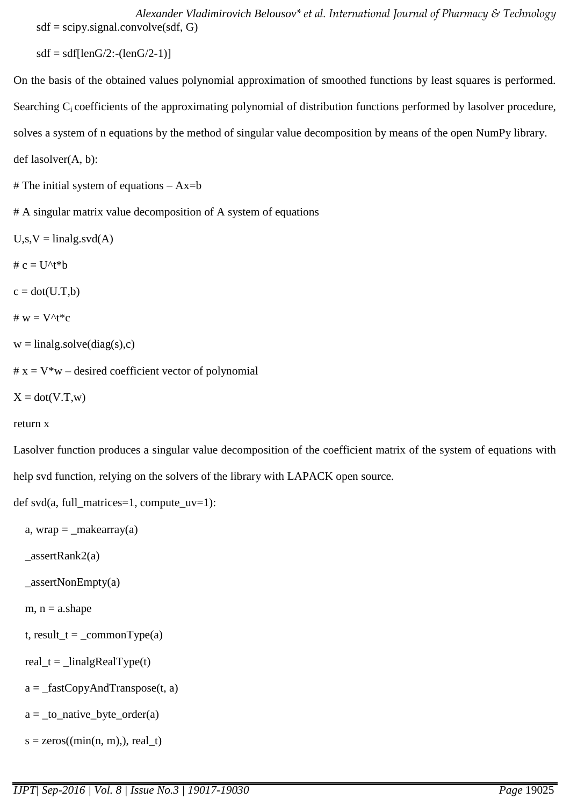*Alexander Vladimirovich Belousov\* et al. International Journal of Pharmacy & Technology*   $sdf = \frac{scipy \cdot signal \cdot convolve(sdf, G)}{g}$ 

 $sdf = sdf[lenG/2:-(lenG/2-1)]$ 

On the basis of the obtained values polynomial approximation of smoothed functions by least squares is performed. Searching C<sub>i</sub> coefficients of the approximating polynomial of distribution functions performed by lasolver procedure, solves a system of n equations by the method of singular value decomposition by means of the open NumPy library. def lasolver(A, b):

# The initial system of equations  $- Ax = b$ 

# A singular matrix value decomposition of A system of equations

 $U,s,V =$ linalg.svd $(A)$ 

#  $c = U^t * b$ 

 $c = dot(U.T,b)$ 

```
# w = V^t * c
```
 $w =$ linalg.solve(diag(s),c)

 $# x = V^*w$  – desired coefficient vector of polynomial

 $X = dot(V.T,w)$ 

#### return x

Lasolver function produces a singular value decomposition of the coefficient matrix of the system of equations with help svd function, relying on the solvers of the library with LAPACK open source.

```
def svd(a, full_matrices=1, compute_uv=1):
```

```
a, wrap = _makearray(a)
```
\_assertRank2(a)

 $_$ assertNonEmpty(a)

```
m, n = a.shape
```

```
t, result_t = _commonType(a)
```

```
real_t = _linalgRealType(t)
```

```
a =_fastCopyAndTranspose(t, a)
```

```
a = \text{\_to\_native\_byte\_order(a)}
```

```
s = zeros((min(n, m)), real_t)
```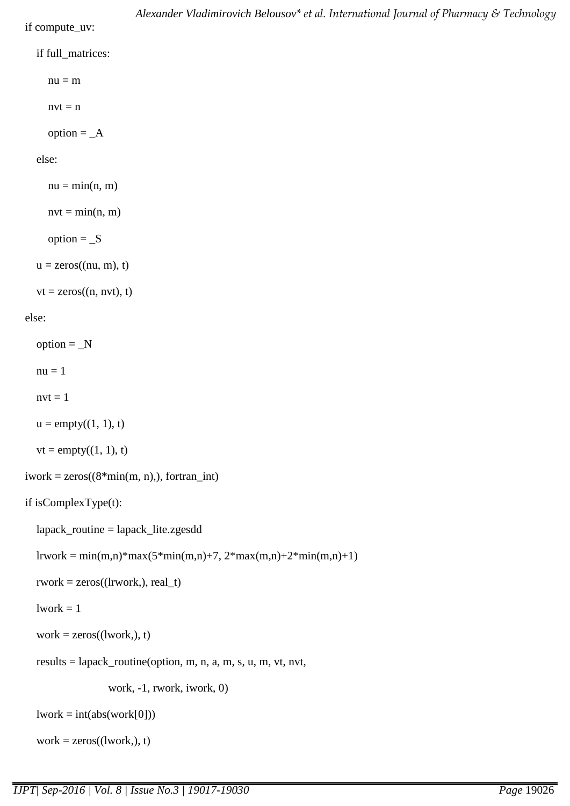if compute\_uv:

```
 if full_matrices:
```
 $nu = m$ 

 $nvt = n$ 

option  $=$   $A$ 

else:

```
nu = min(n, m)nvt = min(n, m)option = Su = zeros((nu, m), t)vt = zeros((n, nvt), t)
```
else:

 $option = _N$  $nu = 1$ 

 $nvt = 1$ 

 $u = \text{empty}((1, 1), t)$ 

 $vt = empty((1, 1), t)$ 

```
iwork = zeros((8*min(m, n)), fortran_int)
```

```
 if isComplexType(t):
```

```
 lapack_routine = lapack_lite.zgesdd
```

```
lrwork = min(m,n)*max(5*min(m,n)+7, 2*max(m,n)+2*min(m,n)+1)
```

```
\text{rwork} = \text{zeros}((\text{lrwork},), \text{real_t})
```

```
1work = 1
```

```
work = zeros((lwork,), t)
```

```
 results = lapack_routine(option, m, n, a, m, s, u, m, vt, nvt,
```
work, -1, rwork, iwork, 0)

 $lwork = int(abs(wordk[0]))$ 

```
work = zeros((lwork,), t)
```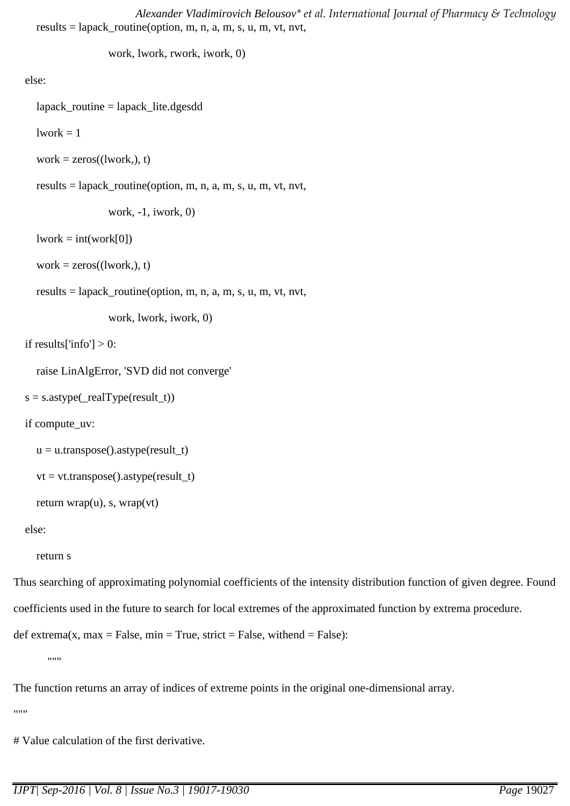*Alexander Vladimirovich Belousov\* et al. International Journal of Pharmacy & Technology*  results = lapack routine(option, m, n, a, m, s, u, m, vt, nvt,

work, lwork, rwork, iwork, 0)

else:

lapack\_routine = lapack\_lite.dgesdd

 $1$ work  $= 1$ 

```
work = zeros((lwork,), t)
```
results = lapack\_routine(option, m, n, a, m, s, u, m, vt, nvt,

work, -1, iwork, 0)

```
lwork = int(wordk[0])
```

```
work = zeros((lwork,), t)
```
results = lapack\_routine(option, m, n, a, m, s, u, m, vt, nvt,

work, lwork, iwork, 0)

```
if results['info'] > 0:
```
raise LinAlgError, 'SVD did not converge'

```
s = s.astype(_realType(result_t))
```
if compute\_uv:

```
u = u.transpose().astype(result_t)
```

```
vt = vt.transpose().astype(result_t)
```

```
 return wrap(u), s, wrap(vt)
```
else:

return s

Thus searching of approximating polynomial coefficients of the intensity distribution function of given degree. Found coefficients used in the future to search for local extremes of the approximated function by extrema procedure.

```
def extrema(x, max = False, min = True, strict = False, withend = False):
```
"""

The function returns an array of indices of extreme points in the original one-dimensional array.

""

# Value calculation of the first derivative.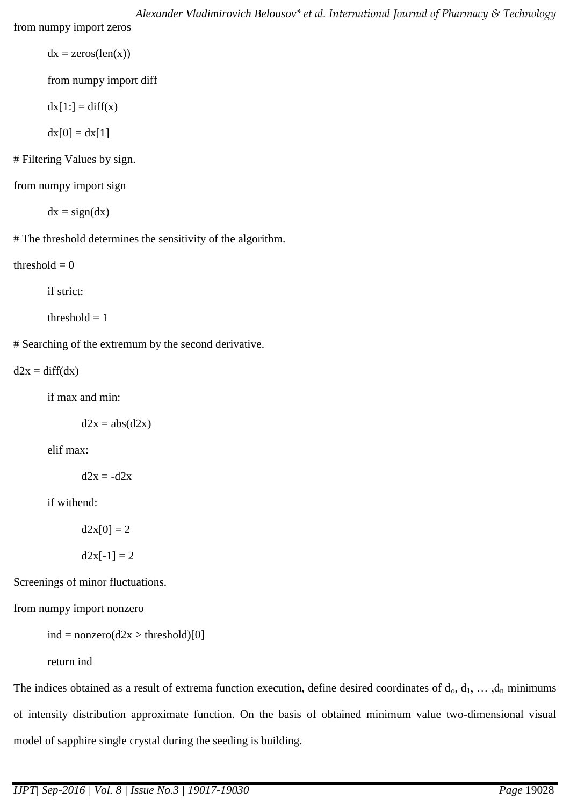*Alexander Vladimirovich Belousov\* et al. International Journal of Pharmacy & Technology*  from numpy import zeros

 $dx = zeros(len(x))$ 

from numpy import diff

 $dx[1:] = diff(x)$ 

 $dx[0] = dx[1]$ 

# Filtering Values by sign.

from numpy import sign

 $dx = sign(dx)$ 

# The threshold determines the sensitivity of the algorithm.

threshold  $= 0$ 

if strict:

threshold  $= 1$ 

# Searching of the extremum by the second derivative.

 $d2x = diff(dx)$ 

if max and min:

 $d2x = abs(d2x)$ 

elif max:

 $d2x = -d2x$ 

if withend:

 $d2x[0] = 2$ 

 $d2x[-1] = 2$ 

Screenings of minor fluctuations.

from numpy import nonzero

```
ind = nonzero(d2x > threshold)[0]
```
return ind

The indices obtained as a result of extrema function execution, define desired coordinates of  $d_0, d_1, \ldots, d_n$  minimums of intensity distribution approximate function. On the basis of obtained minimum value two-dimensional visual model of sapphire single crystal during the seeding is building.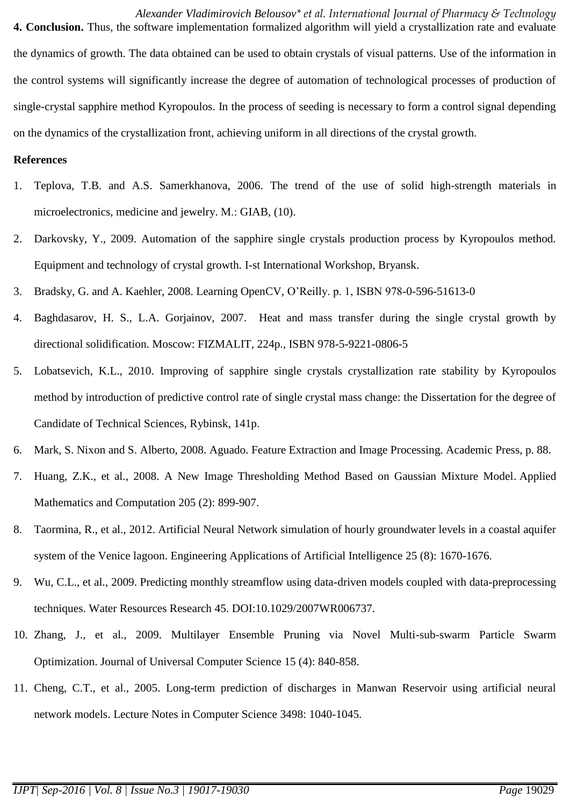*Alexander Vladimirovich Belousov\* et al. International Journal of Pharmacy & Technology*  **4. Conclusion.** Thus, the software implementation formalized algorithm will yield a crystallization rate and evaluate the dynamics of growth. The data obtained can be used to obtain crystals of visual patterns. Use of the information in the control systems will significantly increase the degree of automation of technological processes of production of single-crystal sapphire method Kyropoulos. In the process of seeding is necessary to form a control signal depending on the dynamics of the crystallization front, achieving uniform in all directions of the crystal growth.

#### **References**

- 1. Teplova, T.B. and A.S. Samerkhanova, 2006. The trend of the use of solid high-strength materials in microelectronics, medicine and jewelry. М.: GIAB, (10).
- 2. Darkovsky, Y., 2009. Automation of the sapphire single crystals production process by Kyropoulos method. Equipment and technology of crystal growth. I-st International Workshop, Bryansk.
- 3. Bradsky, G. and A. Kaehler, 2008. Learning OpenCV, O'Reilly. p. 1, ISBN 978-0-596-51613-0
- 4. Baghdasarov, H. S., L.A. Gorjainov, 2007. Heat and mass transfer during the single crystal growth by directional solidification. Moscow: FIZMALIT, 224p., ISBN 978-5-9221-0806-5
- 5. Lobatsevich, K.L., 2010. Improving of sapphire single crystals crystallization rate stability by Kyropoulos method by introduction of predictive control rate of single crystal mass change: the Dissertation for the degree of Candidate of Technical Sciences, Rybinsk, 141p.
- 6. Mark, S. Nixon and S. Alberto, 2008. Aguado. Feature Extraction and Image Processing. Academic Press, p. 88.
- 7. Huang, Z.K., et al., 2008. A New Image Thresholding Method Based on Gaussian Mixture Model. Applied Mathematics and Computation 205 (2): 899-907.
- 8. Taormina, R., et al., 2012. Artificial Neural Network simulation of hourly groundwater levels in a coastal aquifer system of the Venice lagoon. Engineering Applications of Artificial Intelligence 25 (8): 1670-1676.
- 9. Wu, C.L., et al., 2009. Predicting monthly streamflow using data-driven models coupled with data-preprocessing techniques. Water Resources Research 45. DOI:10.1029/2007WR006737.
- 10. Zhang, J., et al., 2009. Multilayer Ensemble Pruning via Novel Multi-sub-swarm Particle Swarm Optimization. Journal of Universal Computer Science 15 (4): 840-858.
- 11. Cheng, C.T., et al., 2005. Long-term prediction of discharges in Manwan Reservoir using artificial neural network models. Lecture Notes in Computer Science 3498: 1040-1045.